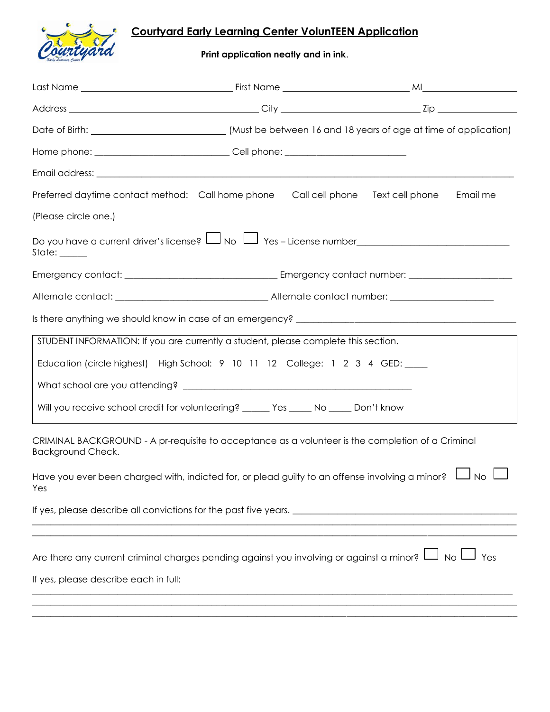## **Courtyard Early Learning Center VolunTEEN Application**



**Print application neatly and in ink**.

|                                                                                                                               |  | Date of Birth: _______________________________(Must be between 16 and 18 years of age at time of application) |  |
|-------------------------------------------------------------------------------------------------------------------------------|--|---------------------------------------------------------------------------------------------------------------|--|
| Home phone: __________________________________Cell phone: ______________________                                              |  |                                                                                                               |  |
|                                                                                                                               |  |                                                                                                               |  |
| Preferred daytime contact method: Call home phone Call cell phone Text cell phone                                             |  | Email me                                                                                                      |  |
| (Please circle one.)                                                                                                          |  |                                                                                                               |  |
| Do you have a current driver's license? Lu No Lu Yes - License number_______________________________<br>State: _____          |  |                                                                                                               |  |
|                                                                                                                               |  |                                                                                                               |  |
|                                                                                                                               |  |                                                                                                               |  |
|                                                                                                                               |  |                                                                                                               |  |
| STUDENT INFORMATION: If you are currently a student, please complete this section.                                            |  |                                                                                                               |  |
| Education (circle highest) High School: 9 10 11 12 College: 1 2 3 4 GED: _____                                                |  |                                                                                                               |  |
|                                                                                                                               |  |                                                                                                               |  |
| Will you receive school credit for volunteering? _______ Yes _____ No _____ Don't know                                        |  |                                                                                                               |  |
| CRIMINAL BACKGROUND - A pr-requisite to acceptance as a volunteer is the completion of a Criminal<br><b>Background Check.</b> |  |                                                                                                               |  |
| Have you ever been charged with, indicted for, or plead guilty to an offense involving a minor? $\Box$<br>J no I<br>Yes       |  |                                                                                                               |  |
| If yes, please describe all convictions for the past five years.                                                              |  |                                                                                                               |  |
|                                                                                                                               |  |                                                                                                               |  |
| Yes Lumber 2017 No Lumber 2016 Yes                                                                                            |  |                                                                                                               |  |
| If yes, please describe each in full:                                                                                         |  |                                                                                                               |  |
|                                                                                                                               |  |                                                                                                               |  |
|                                                                                                                               |  |                                                                                                               |  |